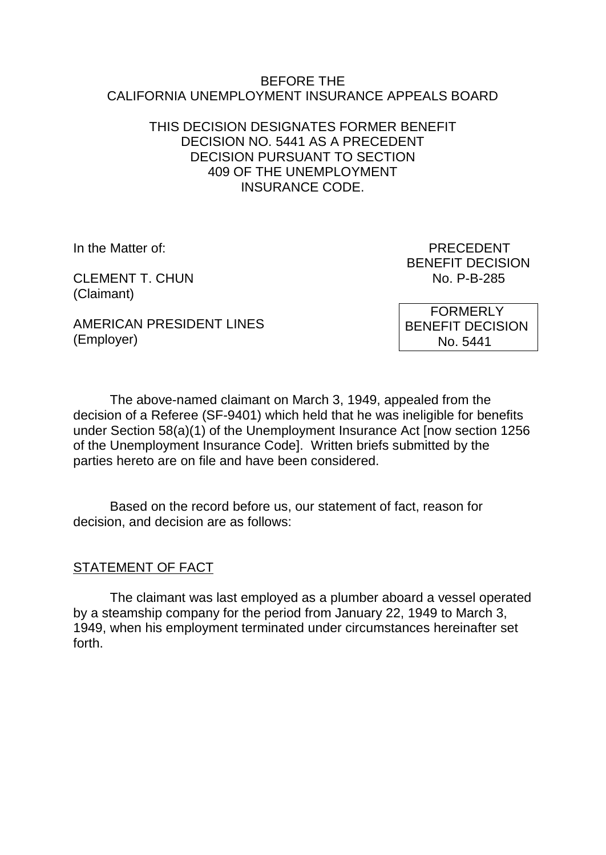#### BEFORE THE CALIFORNIA UNEMPLOYMENT INSURANCE APPEALS BOARD

## THIS DECISION DESIGNATES FORMER BENEFIT DECISION NO. 5441 AS A PRECEDENT DECISION PURSUANT TO SECTION 409 OF THE UNEMPLOYMENT INSURANCE CODE.

CLEMENT T. CHUN NO. P-B-285 (Claimant)

In the Matter of: PRECEDENT BENEFIT DECISION

AMERICAN PRESIDENT LINES (Employer)

 FORMERLY BENEFIT DECISION No. 5441

The above-named claimant on March 3, 1949, appealed from the decision of a Referee (SF-9401) which held that he was ineligible for benefits under Section 58(a)(1) of the Unemployment Insurance Act [now section 1256 of the Unemployment Insurance Code]. Written briefs submitted by the parties hereto are on file and have been considered.

Based on the record before us, our statement of fact, reason for decision, and decision are as follows:

### STATEMENT OF FACT

The claimant was last employed as a plumber aboard a vessel operated by a steamship company for the period from January 22, 1949 to March 3, 1949, when his employment terminated under circumstances hereinafter set forth.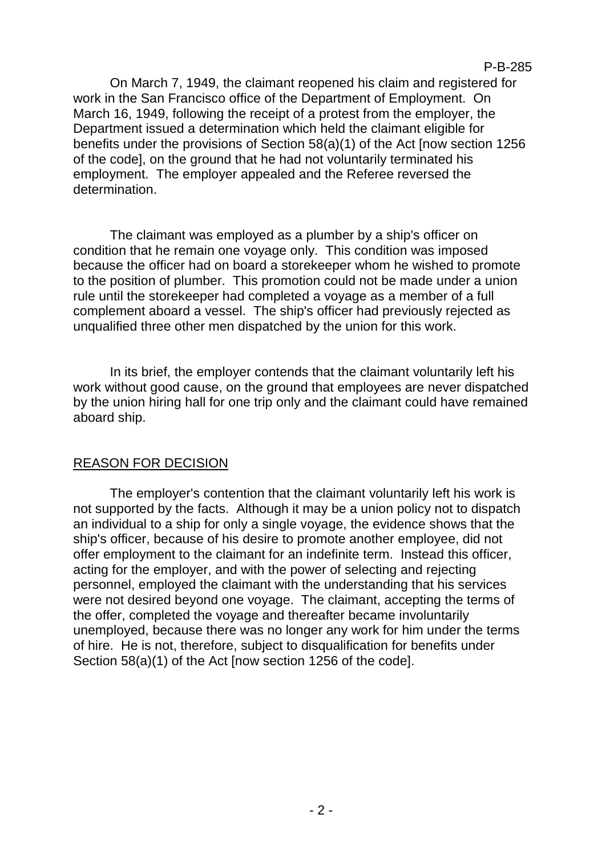On March 7, 1949, the claimant reopened his claim and registered for work in the San Francisco office of the Department of Employment. On March 16, 1949, following the receipt of a protest from the employer, the Department issued a determination which held the claimant eligible for benefits under the provisions of Section 58(a)(1) of the Act [now section 1256 of the code], on the ground that he had not voluntarily terminated his employment. The employer appealed and the Referee reversed the determination.

The claimant was employed as a plumber by a ship's officer on condition that he remain one voyage only. This condition was imposed because the officer had on board a storekeeper whom he wished to promote to the position of plumber. This promotion could not be made under a union rule until the storekeeper had completed a voyage as a member of a full complement aboard a vessel. The ship's officer had previously rejected as unqualified three other men dispatched by the union for this work.

In its brief, the employer contends that the claimant voluntarily left his work without good cause, on the ground that employees are never dispatched by the union hiring hall for one trip only and the claimant could have remained aboard ship.

# REASON FOR DECISION

The employer's contention that the claimant voluntarily left his work is not supported by the facts. Although it may be a union policy not to dispatch an individual to a ship for only a single voyage, the evidence shows that the ship's officer, because of his desire to promote another employee, did not offer employment to the claimant for an indefinite term. Instead this officer, acting for the employer, and with the power of selecting and rejecting personnel, employed the claimant with the understanding that his services were not desired beyond one voyage. The claimant, accepting the terms of the offer, completed the voyage and thereafter became involuntarily unemployed, because there was no longer any work for him under the terms of hire. He is not, therefore, subject to disqualification for benefits under Section 58(a)(1) of the Act [now section 1256 of the code].